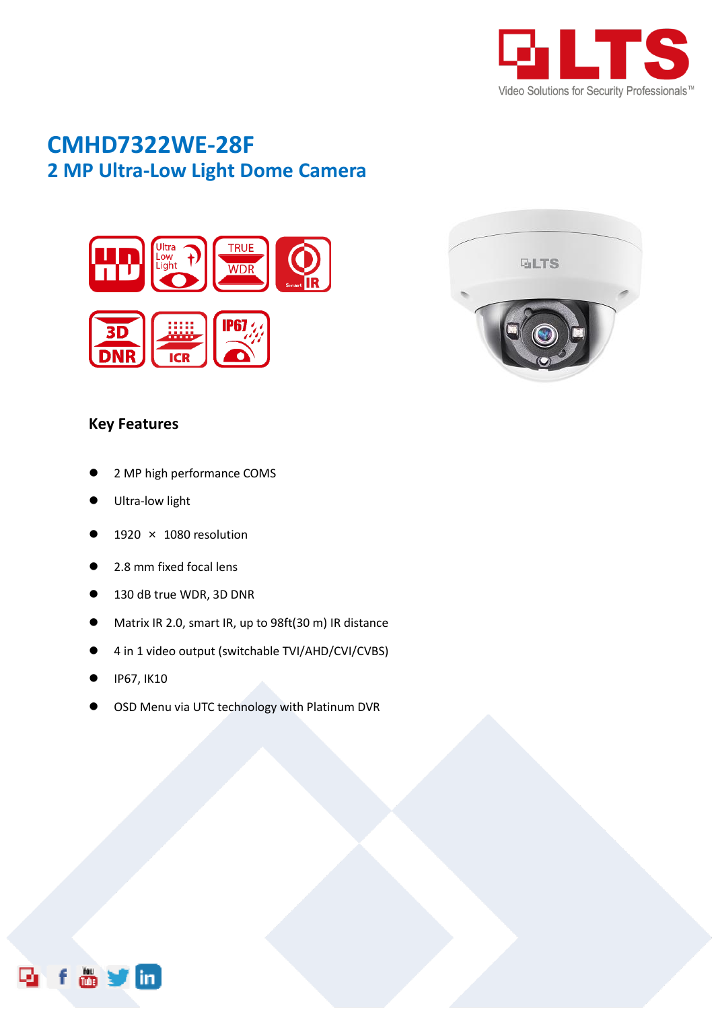

## **CMHD7322WE-28F 2 MP Ultra-Low Light Dome Camera**





## **Key Features**

- 2 MP high performance COMS
- Ultra-low light
- 1920 × 1080 resolution
- 2.8 mm fixed focal lens
- 130 dB true WDR, 3D DNR
- Matrix IR 2.0, smart IR, up to 98ft(30 m) IR distance
- 4 in 1 video output (switchable TVI/AHD/CVI/CVBS)
- IP67, IK10
- OSD Menu via UTC technology with Platinum DVR

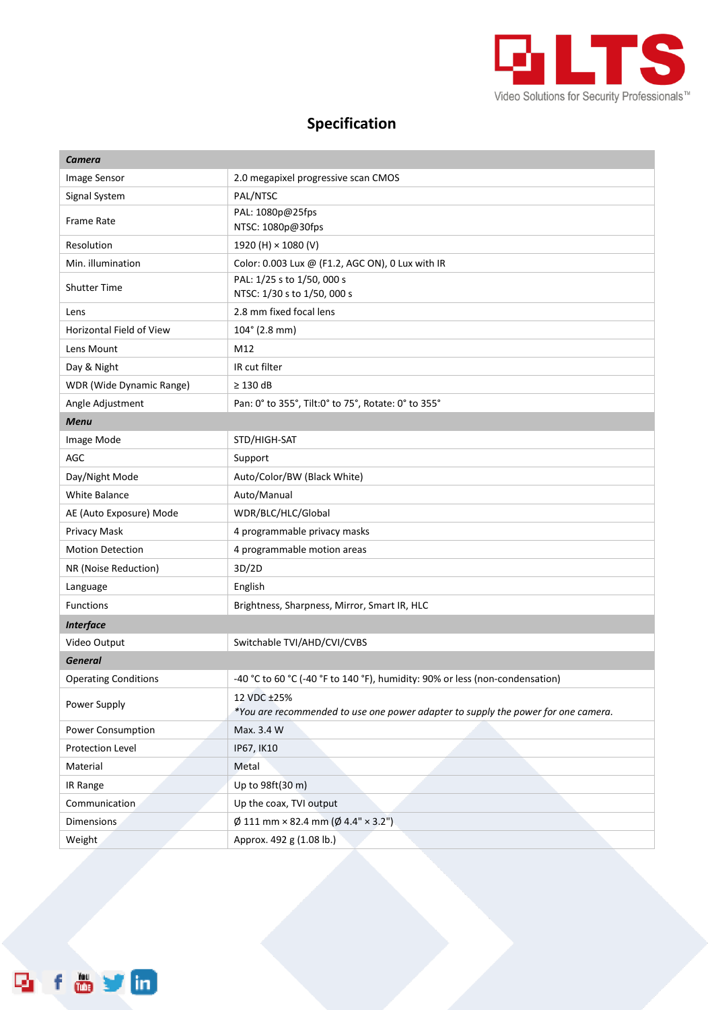

## **Specification**

| Camera                          |                                                                                                  |
|---------------------------------|--------------------------------------------------------------------------------------------------|
| Image Sensor                    | 2.0 megapixel progressive scan CMOS                                                              |
| Signal System                   | PAL/NTSC                                                                                         |
| <b>Frame Rate</b>               | PAL: 1080p@25fps<br>NTSC: 1080p@30fps                                                            |
| Resolution                      | 1920 (H) × 1080 (V)                                                                              |
| Min. illumination               | Color: 0.003 Lux @ (F1.2, AGC ON), 0 Lux with IR                                                 |
| <b>Shutter Time</b>             | PAL: 1/25 s to 1/50, 000 s<br>NTSC: 1/30 s to 1/50, 000 s                                        |
| Lens                            | 2.8 mm fixed focal lens                                                                          |
| <b>Horizontal Field of View</b> | $104^{\circ}$ (2.8 mm)                                                                           |
| Lens Mount                      | M12                                                                                              |
| Day & Night                     | IR cut filter                                                                                    |
| WDR (Wide Dynamic Range)        | $\geq$ 130 dB                                                                                    |
| Angle Adjustment                | Pan: 0° to 355°, Tilt:0° to 75°, Rotate: 0° to 355°                                              |
| <b>Menu</b>                     |                                                                                                  |
| Image Mode                      | STD/HIGH-SAT                                                                                     |
| AGC                             | Support                                                                                          |
| Day/Night Mode                  | Auto/Color/BW (Black White)                                                                      |
| <b>White Balance</b>            | Auto/Manual                                                                                      |
| AE (Auto Exposure) Mode         | WDR/BLC/HLC/Global                                                                               |
| Privacy Mask                    | 4 programmable privacy masks                                                                     |
| <b>Motion Detection</b>         | 4 programmable motion areas                                                                      |
| NR (Noise Reduction)            | 3D/2D                                                                                            |
| Language                        | English                                                                                          |
| <b>Functions</b>                | Brightness, Sharpness, Mirror, Smart IR, HLC                                                     |
| <b>Interface</b>                |                                                                                                  |
| Video Output                    | Switchable TVI/AHD/CVI/CVBS                                                                      |
| <b>General</b>                  |                                                                                                  |
| <b>Operating Conditions</b>     | -40 °C to 60 °C (-40 °F to 140 °F), humidity: 90% or less (non-condensation)                     |
| Power Supply                    | 12 VDC ±25%<br>*You are recommended to use one power adapter to supply the power for one camera. |
| Power Consumption               | Max. 3.4 W                                                                                       |
| Protection Level                | IP67, IK10                                                                                       |
| Material                        | Metal                                                                                            |
| IR Range                        | Up to 98ft(30 m)                                                                                 |
| Communication                   | Up the coax, TVI output                                                                          |
| Dimensions                      | $\emptyset$ 111 mm × 82.4 mm ( $\emptyset$ 4.4" × 3.2")                                          |
| Weight                          | Approx. 492 g (1.08 lb.)                                                                         |

fovin Ę,